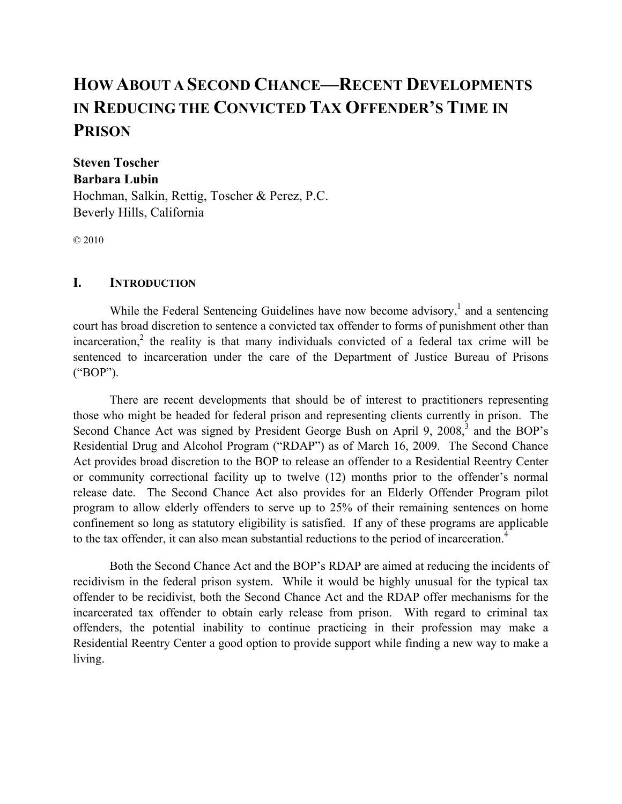# **HOW ABOUT A SECOND CHANCE—RECENT DEVELOPMENTS IN REDUCING THE CONVICTED TAX OFFENDER'S TIME IN PRISON**

# **Steven Toscher Barbara Lubin**

Hochman, Salkin, Rettig, Toscher & Perez, P.C. Beverly Hills, California

© 2010

## **I. INTRODUCTION**

While the Federal Sentencing Guidelines have now become advisory, $<sup>1</sup>$  and a sentencing</sup> court has broad discretion to sentence a convicted tax offender to forms of punishment other than incarceration,<sup>2</sup> the reality is that many individuals convicted of a federal tax crime will be sentenced to incarceration under the care of the Department of Justice Bureau of Prisons ("BOP").

There are recent developments that should be of interest to practitioners representing those who might be headed for federal prison and representing clients currently in prison. The Second Chance Act was signed by President George Bush on April 9,  $2008$ , and the BOP's Residential Drug and Alcohol Program ("RDAP") as of March 16, 2009. The Second Chance Act provides broad discretion to the BOP to release an offender to a Residential Reentry Center or community correctional facility up to twelve (12) months prior to the offender's normal release date. The Second Chance Act also provides for an Elderly Offender Program pilot program to allow elderly offenders to serve up to 25% of their remaining sentences on home confinement so long as statutory eligibility is satisfied. If any of these programs are applicable to the tax offender, it can also mean substantial reductions to the period of incarceration.<sup>4</sup>

Both the Second Chance Act and the BOP's RDAP are aimed at reducing the incidents of recidivism in the federal prison system. While it would be highly unusual for the typical tax offender to be recidivist, both the Second Chance Act and the RDAP offer mechanisms for the incarcerated tax offender to obtain early release from prison. With regard to criminal tax offenders, the potential inability to continue practicing in their profession may make a Residential Reentry Center a good option to provide support while finding a new way to make a living.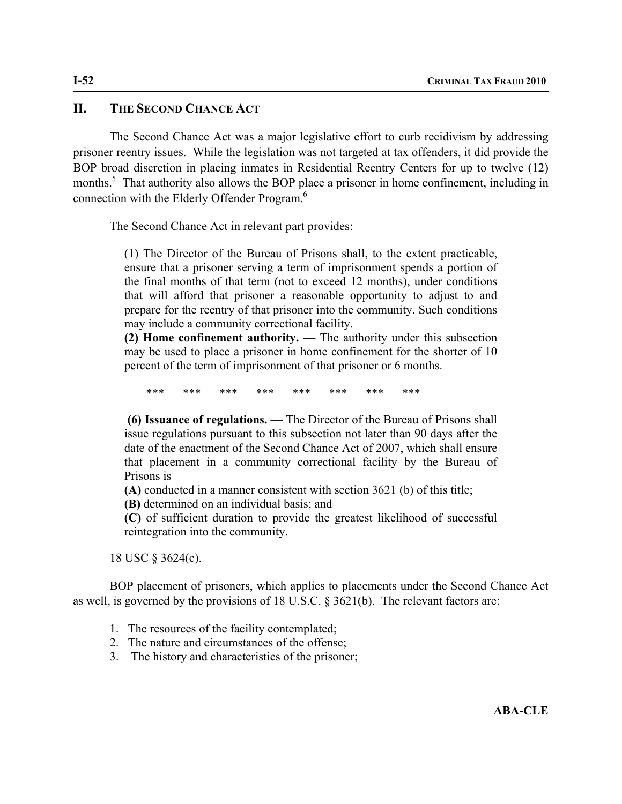#### **II. THE SECOND CHANCE ACT**

The Second Chance Act was a major legislative effort to curb recidivism by addressing prisoner reentry issues. While the legislation was not targeted at tax offenders, it did provide the BOP broad discretion in placing inmates in Residential Reentry Centers for up to twelve (12) months.<sup>5</sup> That authority also allows the BOP place a prisoner in home confinement, including in connection with the Elderly Offender Program.6

The Second Chance Act in relevant part provides:

(1) The Director of the Bureau of Prisons shall, to the extent practicable, ensure that a prisoner serving a term of imprisonment spends a portion of the final months of that term (not to exceed 12 months), under conditions that will afford that prisoner a reasonable opportunity to adjust to and prepare for the reentry of that prisoner into the community. Such conditions may include a community correctional facility.

**(2) Home confinement authority. —** The authority under this subsection may be used to place a prisoner in home confinement for the shorter of 10 percent of the term of imprisonment of that prisoner or 6 months.

\*\*\* \*\*\* \*\*\* \*\*\* \*\*\* \*\*\* \*\*\* \*\*\*

 **(6) Issuance of regulations. —** The Director of the Bureau of Prisons shall issue regulations pursuant to this subsection not later than 90 days after the date of the enactment of the Second Chance Act of 2007, which shall ensure that placement in a community correctional facility by the Bureau of Prisons is—

**(A)** conducted in a manner consistent with section 3621 (b) of this title;

**(B)** determined on an individual basis; and

**(C)** of sufficient duration to provide the greatest likelihood of successful reintegration into the community.

18 USC § 3624(c).

BOP placement of prisoners, which applies to placements under the Second Chance Act as well, is governed by the provisions of 18 U.S.C. § 3621(b). The relevant factors are:

- 1. The resources of the facility contemplated;
- 2. The nature and circumstances of the offense;
- 3. The history and characteristics of the prisoner;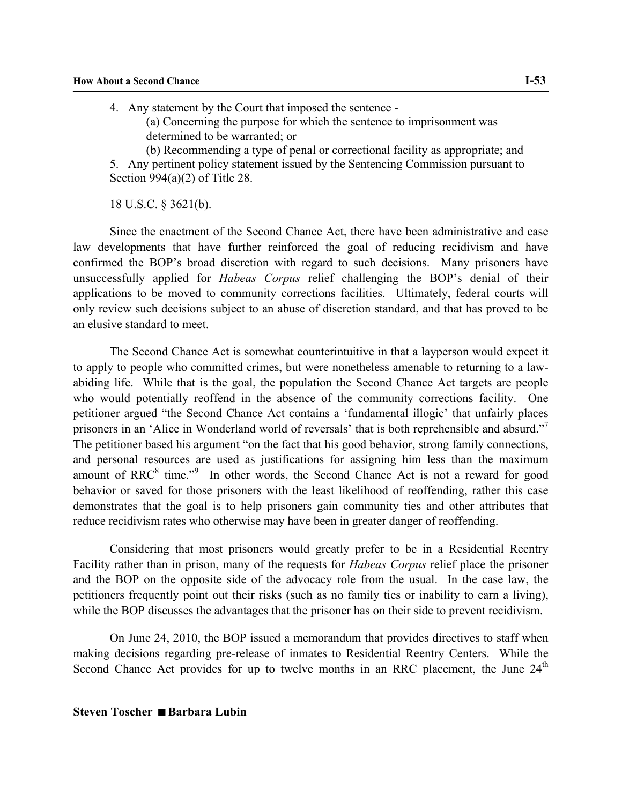4. Any statement by the Court that imposed the sentence - (a) Concerning the purpose for which the sentence to imprisonment was determined to be warranted; or (b) Recommending a type of penal or correctional facility as appropriate; and

5. Any pertinent policy statement issued by the Sentencing Commission pursuant to Section 994(a)(2) of Title 28.

18 U.S.C. § 3621(b).

Since the enactment of the Second Chance Act, there have been administrative and case law developments that have further reinforced the goal of reducing recidivism and have confirmed the BOP's broad discretion with regard to such decisions. Many prisoners have unsuccessfully applied for *Habeas Corpus* relief challenging the BOP's denial of their applications to be moved to community corrections facilities. Ultimately, federal courts will only review such decisions subject to an abuse of discretion standard, and that has proved to be an elusive standard to meet.

The Second Chance Act is somewhat counterintuitive in that a layperson would expect it to apply to people who committed crimes, but were nonetheless amenable to returning to a lawabiding life. While that is the goal, the population the Second Chance Act targets are people who would potentially reoffend in the absence of the community corrections facility. One petitioner argued "the Second Chance Act contains a 'fundamental illogic' that unfairly places prisoners in an 'Alice in Wonderland world of reversals' that is both reprehensible and absurd."<sup>7</sup> The petitioner based his argument "on the fact that his good behavior, strong family connections, and personal resources are used as justifications for assigning him less than the maximum amount of  $RRC<sup>8</sup>$  time."<sup>9</sup> In other words, the Second Chance Act is not a reward for good behavior or saved for those prisoners with the least likelihood of reoffending, rather this case demonstrates that the goal is to help prisoners gain community ties and other attributes that reduce recidivism rates who otherwise may have been in greater danger of reoffending.

Considering that most prisoners would greatly prefer to be in a Residential Reentry Facility rather than in prison, many of the requests for *Habeas Corpus* relief place the prisoner and the BOP on the opposite side of the advocacy role from the usual. In the case law, the petitioners frequently point out their risks (such as no family ties or inability to earn a living), while the BOP discusses the advantages that the prisoner has on their side to prevent recidivism.

On June 24, 2010, the BOP issued a memorandum that provides directives to staff when making decisions regarding pre-release of inmates to Residential Reentry Centers. While the Second Chance Act provides for up to twelve months in an RRC placement, the June  $24<sup>th</sup>$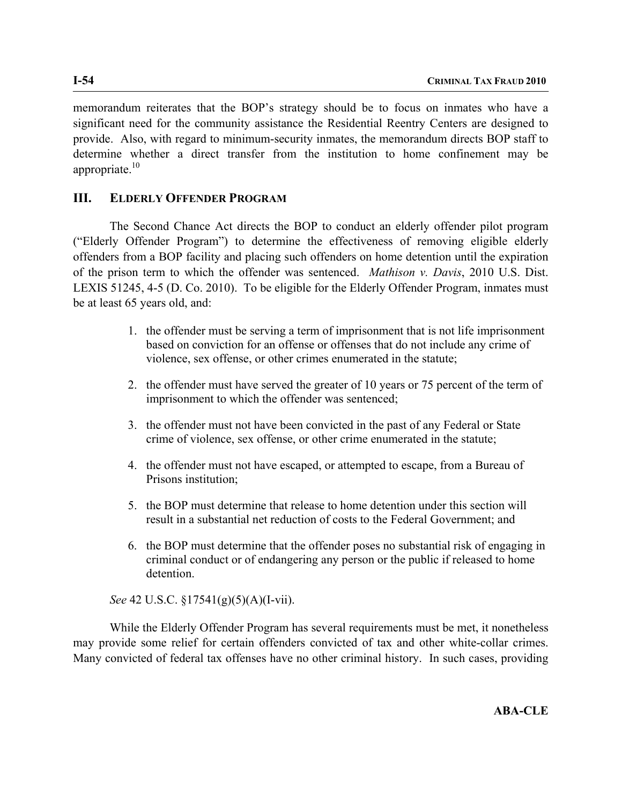memorandum reiterates that the BOP's strategy should be to focus on inmates who have a significant need for the community assistance the Residential Reentry Centers are designed to provide. Also, with regard to minimum-security inmates, the memorandum directs BOP staff to determine whether a direct transfer from the institution to home confinement may be appropriate. $10$ 

## **III. ELDERLY OFFENDER PROGRAM**

The Second Chance Act directs the BOP to conduct an elderly offender pilot program ("Elderly Offender Program") to determine the effectiveness of removing eligible elderly offenders from a BOP facility and placing such offenders on home detention until the expiration of the prison term to which the offender was sentenced. *Mathison v. Davis*, 2010 U.S. Dist. LEXIS 51245, 4-5 (D. Co. 2010). To be eligible for the Elderly Offender Program, inmates must be at least 65 years old, and:

- 1. the offender must be serving a term of imprisonment that is not life imprisonment based on conviction for an offense or offenses that do not include any crime of violence, sex offense, or other crimes enumerated in the statute;
- 2. the offender must have served the greater of 10 years or 75 percent of the term of imprisonment to which the offender was sentenced;
- 3. the offender must not have been convicted in the past of any Federal or State crime of violence, sex offense, or other crime enumerated in the statute;
- 4. the offender must not have escaped, or attempted to escape, from a Bureau of Prisons institution;
- 5. the BOP must determine that release to home detention under this section will result in a substantial net reduction of costs to the Federal Government; and
- 6. the BOP must determine that the offender poses no substantial risk of engaging in criminal conduct or of endangering any person or the public if released to home detention.

*See* 42 U.S.C. §17541(g)(5)(A)(I-vii).

While the Elderly Offender Program has several requirements must be met, it nonetheless may provide some relief for certain offenders convicted of tax and other white-collar crimes. Many convicted of federal tax offenses have no other criminal history. In such cases, providing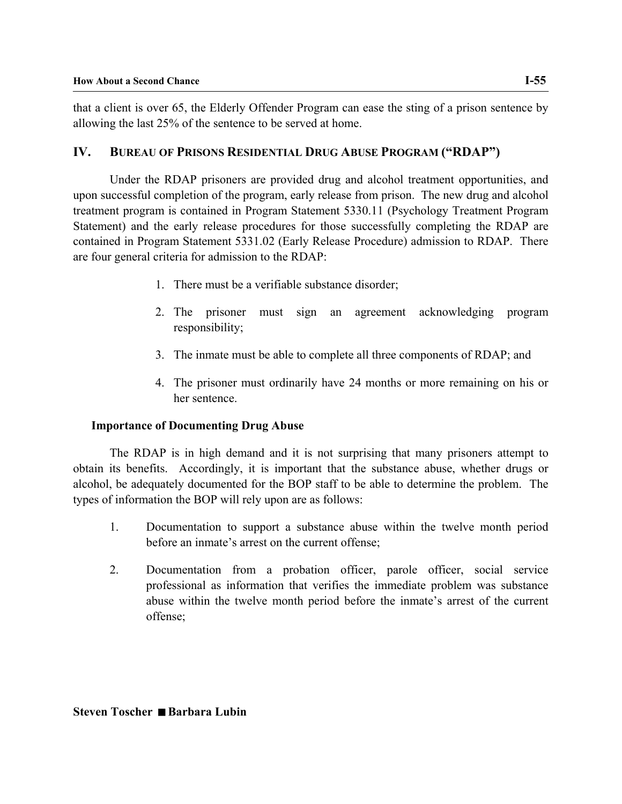that a client is over 65, the Elderly Offender Program can ease the sting of a prison sentence by allowing the last 25% of the sentence to be served at home.

# **IV. BUREAU OF PRISONS RESIDENTIAL DRUG ABUSE PROGRAM ("RDAP")**

Under the RDAP prisoners are provided drug and alcohol treatment opportunities, and upon successful completion of the program, early release from prison. The new drug and alcohol treatment program is contained in Program Statement 5330.11 (Psychology Treatment Program Statement) and the early release procedures for those successfully completing the RDAP are contained in Program Statement 5331.02 (Early Release Procedure) admission to RDAP. There are four general criteria for admission to the RDAP:

- 1. There must be a verifiable substance disorder;
- 2. The prisoner must sign an agreement acknowledging program responsibility;
- 3. The inmate must be able to complete all three components of RDAP; and
- 4. The prisoner must ordinarily have 24 months or more remaining on his or her sentence.

## **Importance of Documenting Drug Abuse**

The RDAP is in high demand and it is not surprising that many prisoners attempt to obtain its benefits. Accordingly, it is important that the substance abuse, whether drugs or alcohol, be adequately documented for the BOP staff to be able to determine the problem. The types of information the BOP will rely upon are as follows:

- 1. Documentation to support a substance abuse within the twelve month period before an inmate's arrest on the current offense;
- 2. Documentation from a probation officer, parole officer, social service professional as information that verifies the immediate problem was substance abuse within the twelve month period before the inmate's arrest of the current offense;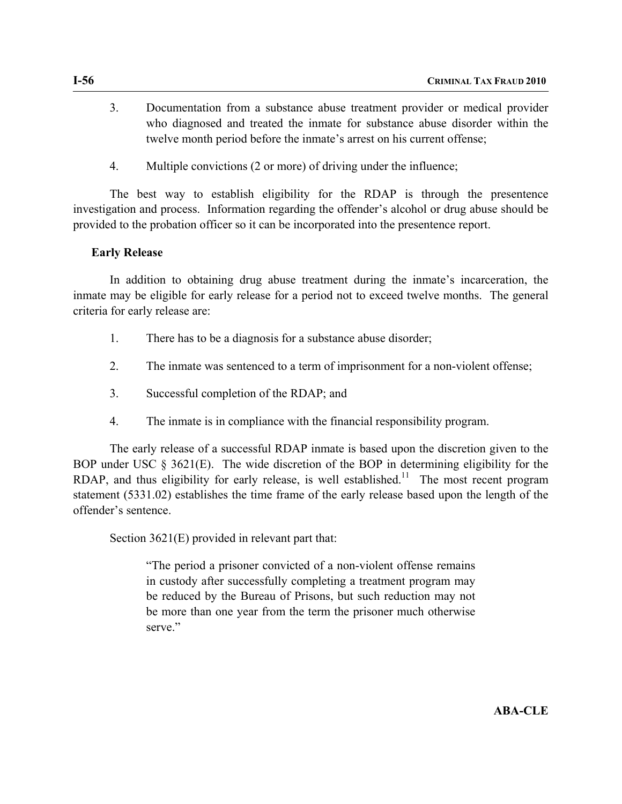- 3. Documentation from a substance abuse treatment provider or medical provider who diagnosed and treated the inmate for substance abuse disorder within the twelve month period before the inmate's arrest on his current offense;
- 4. Multiple convictions (2 or more) of driving under the influence;

The best way to establish eligibility for the RDAP is through the presentence investigation and process. Information regarding the offender's alcohol or drug abuse should be provided to the probation officer so it can be incorporated into the presentence report.

#### **Early Release**

In addition to obtaining drug abuse treatment during the inmate's incarceration, the inmate may be eligible for early release for a period not to exceed twelve months. The general criteria for early release are:

- 1. There has to be a diagnosis for a substance abuse disorder;
- 2. The inmate was sentenced to a term of imprisonment for a non-violent offense;
- 3. Successful completion of the RDAP; and
- 4. The inmate is in compliance with the financial responsibility program.

The early release of a successful RDAP inmate is based upon the discretion given to the BOP under USC § 3621(E). The wide discretion of the BOP in determining eligibility for the RDAP, and thus eligibility for early release, is well established.<sup>11</sup> The most recent program statement (5331.02) establishes the time frame of the early release based upon the length of the offender's sentence.

Section 3621(E) provided in relevant part that:

"The period a prisoner convicted of a non-violent offense remains in custody after successfully completing a treatment program may be reduced by the Bureau of Prisons, but such reduction may not be more than one year from the term the prisoner much otherwise serve."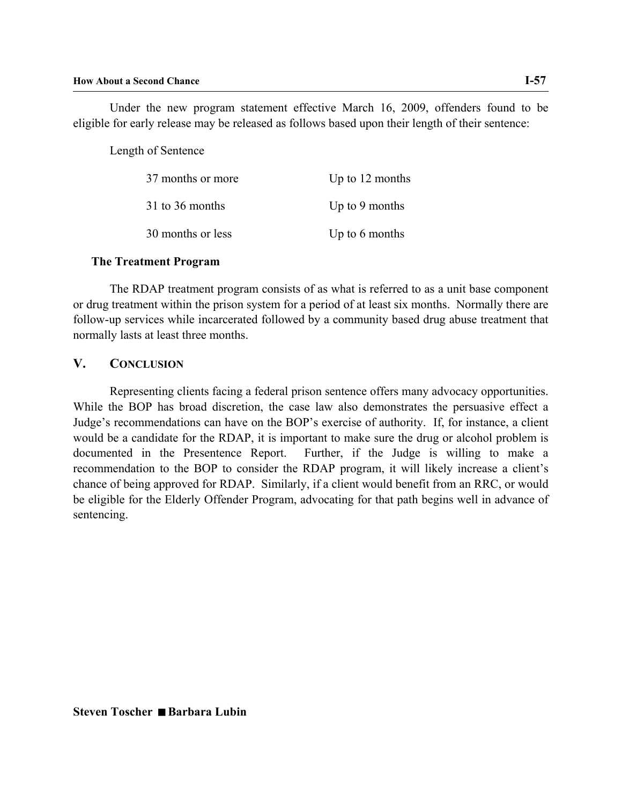Under the new program statement effective March 16, 2009, offenders found to be eligible for early release may be released as follows based upon their length of their sentence:

Length of Sentence

| 37 months or more | Up to $12$ months |
|-------------------|-------------------|
| 31 to 36 months   | Up to 9 months    |
| 30 months or less | Up to 6 months    |

#### **The Treatment Program**

The RDAP treatment program consists of as what is referred to as a unit base component or drug treatment within the prison system for a period of at least six months. Normally there are follow-up services while incarcerated followed by a community based drug abuse treatment that normally lasts at least three months.

#### **V. CONCLUSION**

Representing clients facing a federal prison sentence offers many advocacy opportunities. While the BOP has broad discretion, the case law also demonstrates the persuasive effect a Judge's recommendations can have on the BOP's exercise of authority. If, for instance, a client would be a candidate for the RDAP, it is important to make sure the drug or alcohol problem is documented in the Presentence Report. Further, if the Judge is willing to make a recommendation to the BOP to consider the RDAP program, it will likely increase a client's chance of being approved for RDAP. Similarly, if a client would benefit from an RRC, or would be eligible for the Elderly Offender Program, advocating for that path begins well in advance of sentencing.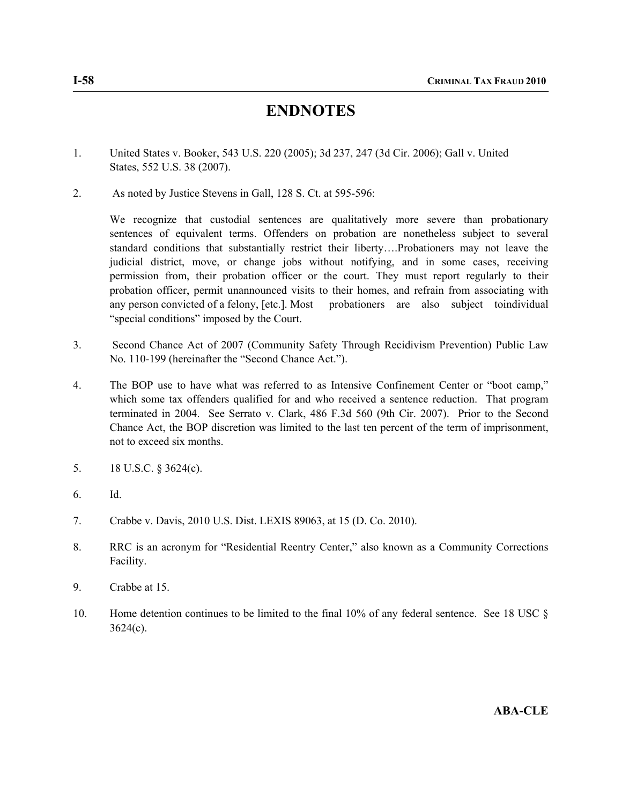# **ENDNOTES**

- 1. United States v. Booker, 543 U.S. 220 (2005); 3d 237, 247 (3d Cir. 2006); Gall v. United States, 552 U.S. 38 (2007).
- 2. As noted by Justice Stevens in Gall, 128 S. Ct. at 595-596:

 We recognize that custodial sentences are qualitatively more severe than probationary sentences of equivalent terms. Offenders on probation are nonetheless subject to several standard conditions that substantially restrict their liberty….Probationers may not leave the judicial district, move, or change jobs without notifying, and in some cases, receiving permission from, their probation officer or the court. They must report regularly to their probation officer, permit unannounced visits to their homes, and refrain from associating with any person convicted of a felony, [etc.]. Most probationers are also subject toindividual "special conditions" imposed by the Court.

- 3. Second Chance Act of 2007 (Community Safety Through Recidivism Prevention) Public Law No. 110-199 (hereinafter the "Second Chance Act.").
- 4. The BOP use to have what was referred to as Intensive Confinement Center or "boot camp," which some tax offenders qualified for and who received a sentence reduction. That program terminated in 2004. See Serrato v. Clark, 486 F.3d 560 (9th Cir. 2007). Prior to the Second Chance Act, the BOP discretion was limited to the last ten percent of the term of imprisonment, not to exceed six months.
- 5. 18 U.S.C. § 3624(c).
- 6. Id.
- 7. Crabbe v. Davis, 2010 U.S. Dist. LEXIS 89063, at 15 (D. Co. 2010).
- 8. RRC is an acronym for "Residential Reentry Center," also known as a Community Corrections Facility.
- 9. Crabbe at 15.
- 10. Home detention continues to be limited to the final 10% of any federal sentence. See 18 USC §  $3624(c)$ .